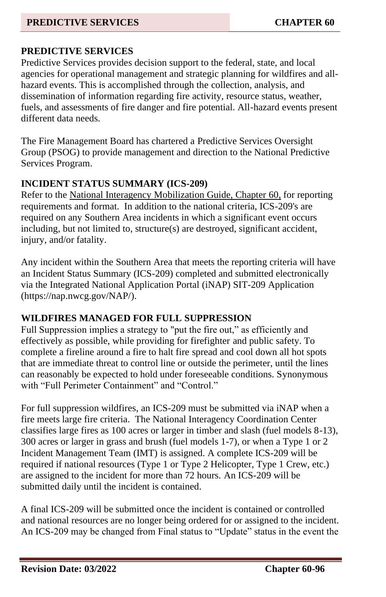#### **PREDICTIVE SERVICES CHAPTER 60**

## **PREDICTIVE SERVICES**

Predictive Services provides decision support to the federal, state, and local agencies for operational management and strategic planning for wildfires and allhazard events. This is accomplished through the collection, analysis, and dissemination of information regarding fire activity, resource status, weather, fuels, and assessments of fire danger and fire potential. All-hazard events present different data needs.

The Fire Management Board has chartered a Predictive Services Oversight Group (PSOG) to provide management and direction to the National Predictive Services Program.

### **INCIDENT STATUS SUMMARY (ICS-209)**

Refer to the National Interagency Mobilization Guide, Chapter 60, for reporting requirements and format. In addition to the national criteria, ICS-209's are required on any Southern Area incidents in which a significant event occurs including, but not limited to, structure(s) are destroyed, significant accident, injury, and/or fatality.

Any incident within the Southern Area that meets the reporting criteria will have an Incident Status Summary (ICS-209) completed and submitted electronically via the Integrated National Application Portal (iNAP) SIT-209 Application (https://nap.nwcg.gov/NAP/).

### **WILDFIRES MANAGED FOR FULL SUPPRESSION**

Full Suppression implies a strategy to "put the fire out," as efficiently and effectively as possible, while providing for firefighter and public safety. To complete a fireline around a fire to halt fire spread and cool down all hot spots that are immediate threat to control line or outside the perimeter, until the lines can reasonably be expected to hold under foreseeable conditions. Synonymous with "Full Perimeter Containment" and "Control."

For full suppression wildfires, an ICS-209 must be submitted via iNAP when a fire meets large fire criteria. The National Interagency Coordination Center classifies large fires as 100 acres or larger in timber and slash (fuel models 8-13), 300 acres or larger in grass and brush (fuel models 1-7), or when a Type 1 or 2 Incident Management Team (IMT) is assigned. A complete ICS-209 will be required if national resources (Type 1 or Type 2 Helicopter, Type 1 Crew, etc.) are assigned to the incident for more than 72 hours. An ICS-209 will be submitted daily until the incident is contained.

A final ICS-209 will be submitted once the incident is contained or controlled and national resources are no longer being ordered for or assigned to the incident. An ICS-209 may be changed from Final status to "Update" status in the event the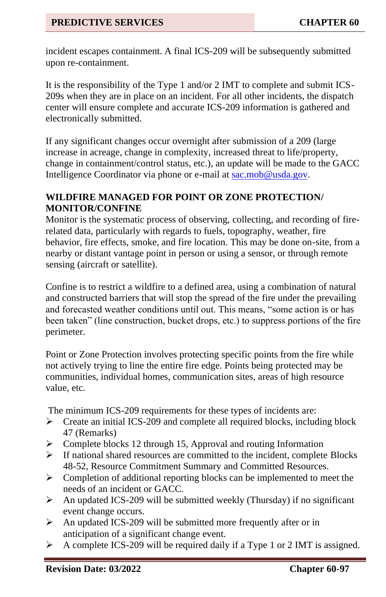incident escapes containment. A final ICS-209 will be subsequently submitted upon re-containment.

It is the responsibility of the Type 1 and/or 2 IMT to complete and submit ICS-209s when they are in place on an incident. For all other incidents, the dispatch center will ensure complete and accurate ICS-209 information is gathered and electronically submitted.

If any significant changes occur overnight after submission of a 209 (large increase in acreage, change in complexity, increased threat to life/property, change in containment/control status, etc.), an update will be made to the GACC Intelligence Coordinator via phone or e-mail a[t sac.mob@usda.gov.](mailto:sac.mob@usda.gov)

### **WILDFIRE MANAGED FOR POINT OR ZONE PROTECTION/ MONITOR/CONFINE**

Monitor is the systematic process of observing, collecting, and recording of firerelated data, particularly with regards to fuels, topography, weather, fire behavior, fire effects, smoke, and fire location. This may be done on-site, from a nearby or distant vantage point in person or using a sensor, or through remote sensing (aircraft or satellite).

Confine is to restrict a wildfire to a defined area, using a combination of natural and constructed barriers that will stop the spread of the fire under the prevailing and forecasted weather conditions until out. This means, "some action is or has been taken" (line construction, bucket drops, etc.) to suppress portions of the fire perimeter.

Point or Zone Protection involves protecting specific points from the fire while not actively trying to line the entire fire edge. Points being protected may be communities, individual homes, communication sites, areas of high resource value, etc.

The minimum ICS-209 requirements for these types of incidents are:

- ➢ Create an initial ICS-209 and complete all required blocks, including block 47 (Remarks)
- ➢ Complete blocks 12 through 15, Approval and routing Information
- ➢ If national shared resources are committed to the incident, complete Blocks 48-52, Resource Commitment Summary and Committed Resources.
- $\triangleright$  Completion of additional reporting blocks can be implemented to meet the needs of an incident or GACC.
- ➢ An updated ICS-209 will be submitted weekly (Thursday) if no significant event change occurs.
- $\triangleright$  An updated ICS-209 will be submitted more frequently after or in anticipation of a significant change event.
- ➢ A complete ICS-209 will be required daily if a Type 1 or 2 IMT is assigned.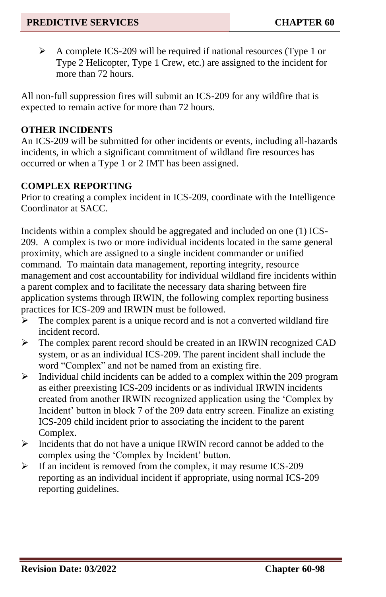➢ A complete ICS-209 will be required if national resources (Type 1 or Type 2 Helicopter, Type 1 Crew, etc.) are assigned to the incident for more than 72 hours.

All non-full suppression fires will submit an ICS-209 for any wildfire that is expected to remain active for more than 72 hours.

#### **OTHER INCIDENTS**

An ICS-209 will be submitted for other incidents or events, including all-hazards incidents, in which a significant commitment of wildland fire resources has occurred or when a Type 1 or 2 IMT has been assigned.

### **COMPLEX REPORTING**

Prior to creating a complex incident in ICS-209, coordinate with the Intelligence Coordinator at SACC.

Incidents within a complex should be aggregated and included on one (1) ICS-209. A complex is two or more individual incidents located in the same general proximity, which are assigned to a single incident commander or unified command. To maintain data management, reporting integrity, resource management and cost accountability for individual wildland fire incidents within a parent complex and to facilitate the necessary data sharing between fire application systems through IRWIN, the following complex reporting business practices for ICS-209 and IRWIN must be followed.

- $\triangleright$  The complex parent is a unique record and is not a converted wildland fire incident record.
- $\triangleright$  The complex parent record should be created in an IRWIN recognized CAD system, or as an individual ICS-209. The parent incident shall include the word "Complex" and not be named from an existing fire.
- ➢ Individual child incidents can be added to a complex within the 209 program as either preexisting ICS-209 incidents or as individual IRWIN incidents created from another IRWIN recognized application using the 'Complex by Incident' button in block 7 of the 209 data entry screen. Finalize an existing ICS-209 child incident prior to associating the incident to the parent Complex.
- ➢ Incidents that do not have a unique IRWIN record cannot be added to the complex using the 'Complex by Incident' button.
- ➢ If an incident is removed from the complex, it may resume ICS-209 reporting as an individual incident if appropriate, using normal ICS-209 reporting guidelines.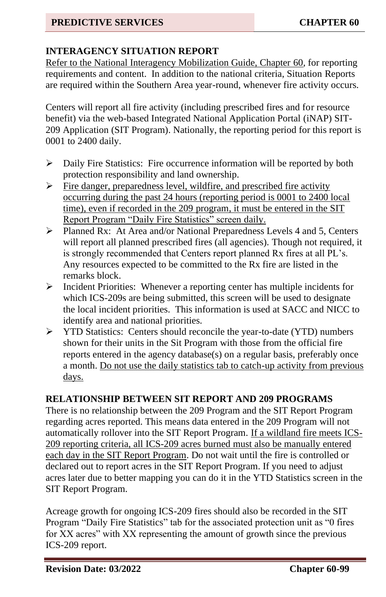# **INTERAGENCY SITUATION REPORT**

Refer to the National Interagency Mobilization Guide, Chapter 60*,* for reporting requirements and content. In addition to the national criteria, Situation Reports are required within the Southern Area year-round, whenever fire activity occurs.

Centers will report all fire activity (including prescribed fires and for resource benefit) via the web-based Integrated National Application Portal (iNAP) SIT-209 Application (SIT Program). Nationally, the reporting period for this report is 0001 to 2400 daily.

- ➢ Daily Fire Statistics: Fire occurrence information will be reported by both protection responsibility and land ownership.
- ➢ Fire danger, preparedness level, wildfire, and prescribed fire activity occurring during the past 24 hours (reporting period is 0001 to 2400 local time), even if recorded in the 209 program, it must be entered in the SIT Report Program "Daily Fire Statistics" screen daily.
- ➢ Planned Rx: At Area and/or National Preparedness Levels 4 and 5, Centers will report all planned prescribed fires (all agencies). Though not required, it is strongly recommended that Centers report planned Rx fires at all PL's. Any resources expected to be committed to the Rx fire are listed in the remarks block.
- ➢ Incident Priorities: Whenever a reporting center has multiple incidents for which ICS-209s are being submitted, this screen will be used to designate the local incident priorities. This information is used at SACC and NICC to identify area and national priorities.
- ➢ YTD Statistics: Centers should reconcile the year-to-date (YTD) numbers shown for their units in the Sit Program with those from the official fire reports entered in the agency database(s) on a regular basis, preferably once a month. Do not use the daily statistics tab to catch-up activity from previous days.

# **RELATIONSHIP BETWEEN SIT REPORT AND 209 PROGRAMS**

There is no relationship between the 209 Program and the SIT Report Program regarding acres reported. This means data entered in the 209 Program will not automatically rollover into the SIT Report Program. If a wildland fire meets ICS-209 reporting criteria, all ICS-209 acres burned must also be manually entered each day in the SIT Report Program. Do not wait until the fire is controlled or declared out to report acres in the SIT Report Program. If you need to adjust acres later due to better mapping you can do it in the YTD Statistics screen in the SIT Report Program.

Acreage growth for ongoing ICS-209 fires should also be recorded in the SIT Program "Daily Fire Statistics" tab for the associated protection unit as "0 fires for XX acres" with XX representing the amount of growth since the previous ICS-209 report.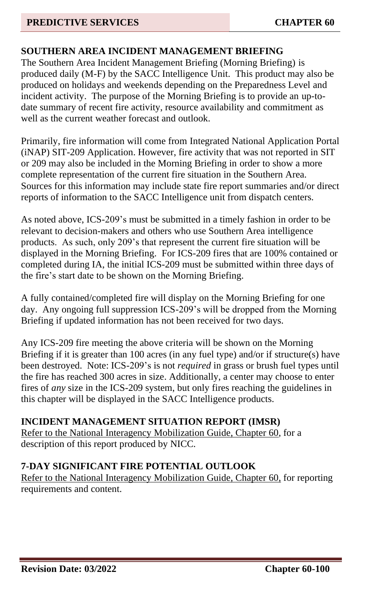# **SOUTHERN AREA INCIDENT MANAGEMENT BRIEFING**

The Southern Area Incident Management Briefing (Morning Briefing) is produced daily (M-F) by the SACC Intelligence Unit. This product may also be produced on holidays and weekends depending on the Preparedness Level and incident activity. The purpose of the Morning Briefing is to provide an up-todate summary of recent fire activity, resource availability and commitment as well as the current weather forecast and outlook.

Primarily, fire information will come from Integrated National Application Portal (iNAP) SIT-209 Application. However, fire activity that was not reported in SIT or 209 may also be included in the Morning Briefing in order to show a more complete representation of the current fire situation in the Southern Area. Sources for this information may include state fire report summaries and/or direct reports of information to the SACC Intelligence unit from dispatch centers.

As noted above, ICS-209's must be submitted in a timely fashion in order to be relevant to decision-makers and others who use Southern Area intelligence products. As such, only 209's that represent the current fire situation will be displayed in the Morning Briefing. For ICS-209 fires that are 100% contained or completed during IA, the initial ICS-209 must be submitted within three days of the fire's start date to be shown on the Morning Briefing.

A fully contained/completed fire will display on the Morning Briefing for one day. Any ongoing full suppression ICS-209's will be dropped from the Morning Briefing if updated information has not been received for two days.

Any ICS-209 fire meeting the above criteria will be shown on the Morning Briefing if it is greater than 100 acres (in any fuel type) and/or if structure(s) have been destroyed. Note: ICS-209's is not *required* in grass or brush fuel types until the fire has reached 300 acres in size. Additionally, a center may choose to enter fires of *any* size in the ICS-209 system, but only fires reaching the guidelines in this chapter will be displayed in the SACC Intelligence products.

### **INCIDENT MANAGEMENT SITUATION REPORT (IMSR)**

Refer to the National Interagency Mobilization Guide, Chapter 60, for a description of this report produced by NICC.

### **7-DAY SIGNIFICANT FIRE POTENTIAL OUTLOOK**

Refer to the National Interagency Mobilization Guide, Chapter 60, for reporting requirements and content.